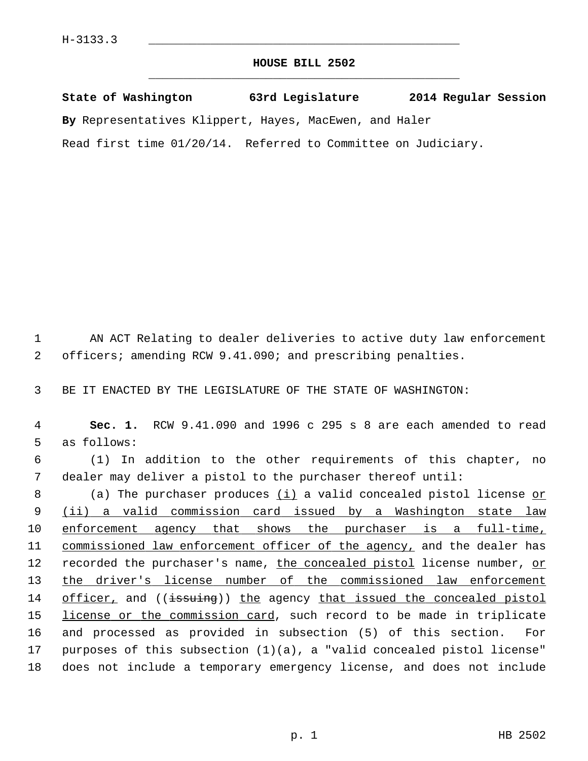## **HOUSE BILL 2502** \_\_\_\_\_\_\_\_\_\_\_\_\_\_\_\_\_\_\_\_\_\_\_\_\_\_\_\_\_\_\_\_\_\_\_\_\_\_\_\_\_\_\_\_\_

**State of Washington 63rd Legislature 2014 Regular Session By** Representatives Klippert, Hayes, MacEwen, and Haler

Read first time 01/20/14. Referred to Committee on Judiciary.

 1 AN ACT Relating to dealer deliveries to active duty law enforcement 2 officers; amending RCW 9.41.090; and prescribing penalties.

3 BE IT ENACTED BY THE LEGISLATURE OF THE STATE OF WASHINGTON:

 4 **Sec. 1.** RCW 9.41.090 and 1996 c 295 s 8 are each amended to read 5 as follows:

 6 (1) In addition to the other requirements of this chapter, no 7 dealer may deliver a pistol to the purchaser thereof until:

8 (a) The purchaser produces (i) a valid concealed pistol license or 9 (ii) a valid commission card issued by a Washington state law 10 enforcement agency that shows the purchaser is a full-time, 11 commissioned law enforcement officer of the agency, and the dealer has 12 recorded the purchaser's name, the concealed pistol license number, or 13 the driver's license number of the commissioned law enforcement 14 officer, and ((issuing)) the agency that issued the concealed pistol 15 license or the commission card, such record to be made in triplicate 16 and processed as provided in subsection (5) of this section. For 17 purposes of this subsection (1)(a), a "valid concealed pistol license" 18 does not include a temporary emergency license, and does not include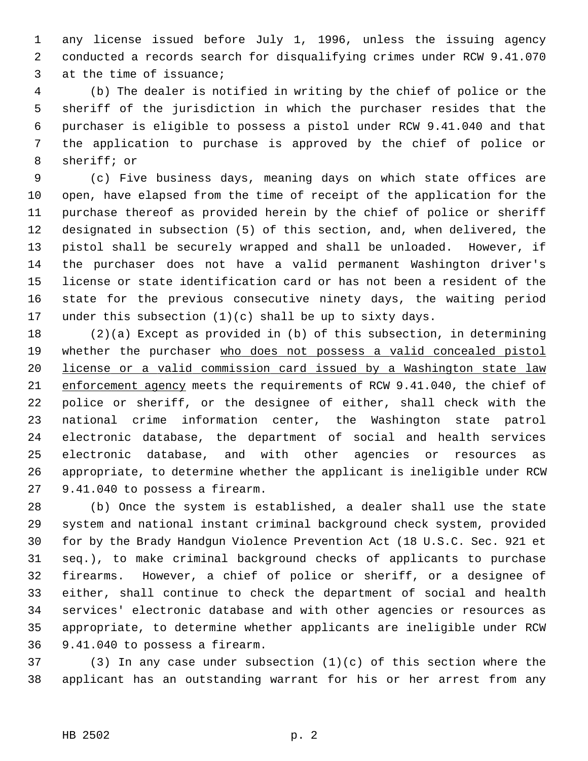1 any license issued before July 1, 1996, unless the issuing agency 2 conducted a records search for disqualifying crimes under RCW 9.41.070 3 at the time of issuance;

 4 (b) The dealer is notified in writing by the chief of police or the 5 sheriff of the jurisdiction in which the purchaser resides that the 6 purchaser is eligible to possess a pistol under RCW 9.41.040 and that 7 the application to purchase is approved by the chief of police or 8 sheriff; or

 9 (c) Five business days, meaning days on which state offices are 10 open, have elapsed from the time of receipt of the application for the 11 purchase thereof as provided herein by the chief of police or sheriff 12 designated in subsection (5) of this section, and, when delivered, the 13 pistol shall be securely wrapped and shall be unloaded. However, if 14 the purchaser does not have a valid permanent Washington driver's 15 license or state identification card or has not been a resident of the 16 state for the previous consecutive ninety days, the waiting period 17 under this subsection  $(1)(c)$  shall be up to sixty days.

18 (2)(a) Except as provided in (b) of this subsection, in determining 19 whether the purchaser who does not possess a valid concealed pistol 20 license or a valid commission card issued by a Washington state law 21 enforcement agency meets the requirements of RCW 9.41.040, the chief of 22 police or sheriff, or the designee of either, shall check with the 23 national crime information center, the Washington state patrol 24 electronic database, the department of social and health services 25 electronic database, and with other agencies or resources as 26 appropriate, to determine whether the applicant is ineligible under RCW 27 9.41.040 to possess a firearm.

28 (b) Once the system is established, a dealer shall use the state 29 system and national instant criminal background check system, provided 30 for by the Brady Handgun Violence Prevention Act (18 U.S.C. Sec. 921 et 31 seq.), to make criminal background checks of applicants to purchase 32 firearms. However, a chief of police or sheriff, or a designee of 33 either, shall continue to check the department of social and health 34 services' electronic database and with other agencies or resources as 35 appropriate, to determine whether applicants are ineligible under RCW 36 9.41.040 to possess a firearm.

37 (3) In any case under subsection (1)(c) of this section where the 38 applicant has an outstanding warrant for his or her arrest from any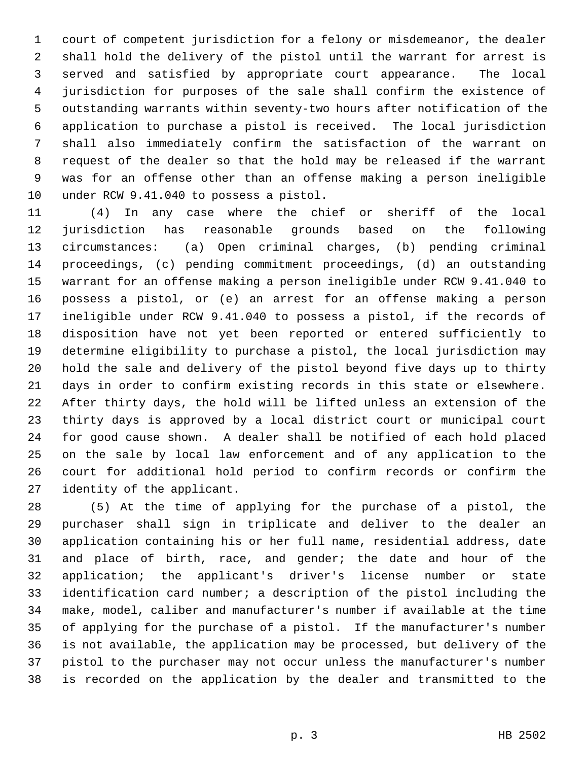1 court of competent jurisdiction for a felony or misdemeanor, the dealer 2 shall hold the delivery of the pistol until the warrant for arrest is 3 served and satisfied by appropriate court appearance. The local 4 jurisdiction for purposes of the sale shall confirm the existence of 5 outstanding warrants within seventy-two hours after notification of the 6 application to purchase a pistol is received. The local jurisdiction 7 shall also immediately confirm the satisfaction of the warrant on 8 request of the dealer so that the hold may be released if the warrant 9 was for an offense other than an offense making a person ineligible 10 under RCW 9.41.040 to possess a pistol.

11 (4) In any case where the chief or sheriff of the local 12 jurisdiction has reasonable grounds based on the following 13 circumstances: (a) Open criminal charges, (b) pending criminal 14 proceedings, (c) pending commitment proceedings, (d) an outstanding 15 warrant for an offense making a person ineligible under RCW 9.41.040 to 16 possess a pistol, or (e) an arrest for an offense making a person 17 ineligible under RCW 9.41.040 to possess a pistol, if the records of 18 disposition have not yet been reported or entered sufficiently to 19 determine eligibility to purchase a pistol, the local jurisdiction may 20 hold the sale and delivery of the pistol beyond five days up to thirty 21 days in order to confirm existing records in this state or elsewhere. 22 After thirty days, the hold will be lifted unless an extension of the 23 thirty days is approved by a local district court or municipal court 24 for good cause shown. A dealer shall be notified of each hold placed 25 on the sale by local law enforcement and of any application to the 26 court for additional hold period to confirm records or confirm the 27 identity of the applicant.

28 (5) At the time of applying for the purchase of a pistol, the 29 purchaser shall sign in triplicate and deliver to the dealer an 30 application containing his or her full name, residential address, date 31 and place of birth, race, and gender; the date and hour of the 32 application; the applicant's driver's license number or state 33 identification card number; a description of the pistol including the 34 make, model, caliber and manufacturer's number if available at the time 35 of applying for the purchase of a pistol. If the manufacturer's number 36 is not available, the application may be processed, but delivery of the 37 pistol to the purchaser may not occur unless the manufacturer's number 38 is recorded on the application by the dealer and transmitted to the